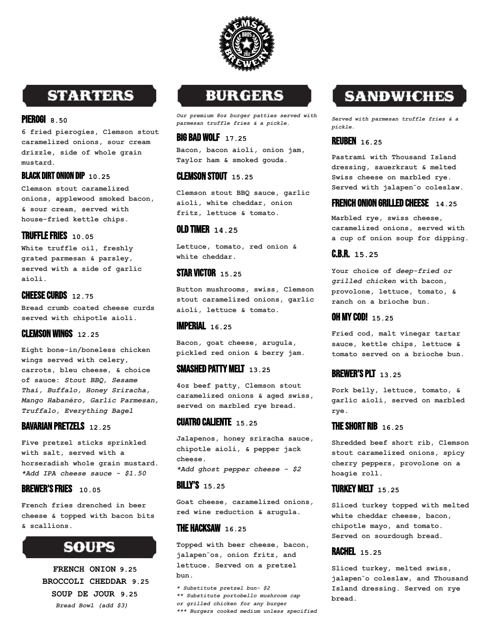

# **STARTERS**

#### PIEROGI **8.50**

**6 fried pierogies, Clemson stout caramelized onions, sour cream drizzle, side of whole grain mustard.**

#### BLACK DIRT ONION DIP **10.25**

**Clemson stout caramelized onions, applewood smoked bacon, & sour cream, served with house-fried kettle chips.**

#### TRUFFLEFRIES **10.05**

**White truffle oil, freshly grated parmesan & parsley, served with a side of garlic aioli.**

#### **CHEESE CURDS 12.75**

**Bread crumb coated cheese curds served with chipotle aioli.**

#### CLEMSON WINGS **12.25**

**Eight bone-in/boneless chicken wings served with celery, carrots, bleu cheese, & choice of sauce:** *Stout BBQ, Sesame Thai, Buffalo, Honey Sriracha, Mango Habanéro, Garlic Parmesan, Truffalo, Everything Bagel*

#### BAVARIAN PRETZELS **12.25**

**Five pretzel sticks sprinkled with salt, served with a horseradish whole grain mustard.** *\*Add IPA cheese sauce - \$1.50*

#### BREWER'SFRIES **10.05**

**French fries drenched in beer cheese & topped with bacon bits & scallions.**

# **SOUPS**

**FRENCH ONION 9.25 BROCCOLI CHEDDAR 9.25 SOUP DE JOUR 9.25** *Bread Bowl (add \$3)*

# **BURGERS**

*Our premium 8oz burger patties served with parmesan truffle fries & a pickle.*

#### BIG BAD WOLF **17.25**

**Bacon, bacon aioli, onion jam, Taylor ham & smoked gouda.**

# CLEMSON STOUT **15.25**

**Clemson stout BBQ sauce, garlic aioli, white cheddar, onion fritz, lettuce & tomato.**

#### OLD TIMER **14.25**

**Lettuce, tomato, red onion & white cheddar.**

# STAR VICTOR **15.25**

**Button mushrooms, swiss, Clemson stout caramelized onions, garlic aioli, lettuce & tomato.**

#### IMPERIAL **16.25**

**Bacon, goat cheese, arugula, pickled red onion & berry jam.**

#### SMASHED PATTY MELT **13.25**

**4oz beef patty, Clemson stout caramelized onions & aged swiss, served on marbled rye bread.**

### CUATRO CALIENTE **15.25**

**Jalapenos, honey sriracha sauce, chipotle aioli, & pepper jack cheese.**

*\*Add ghost pepper cheese - \$2*

#### BILLY'S **15.25**

**Goat cheese, caramelized onions, red wine reduction & arugula.**

#### THE HACKSAW **16.25**

**Topped with beer cheese, bacon, jalapen**̃**os, onion fritz, and lettuce. Served on a pretzel bun.**

*\* Substitute pretzel bun- \$2 \*\* Substitute portobello mushroom cap or grilled chicken for any burger \*\*\* Burgers cooked medium unless specified*

# **SANDWICHES**

*Served with parmesan truffle fries & a pickle.*

## REUBEN **16.25**

**Pastrami with Thousand Island dressing, sauerkraut & melted Swiss cheese on marbled rye. Served with jalapen**̃**o coleslaw.**

## FRENCH ONION GRILLED CHEESE **14.25**

**Marbled rye, swiss cheese, caramelized onions, served with a cup of onion soup for dipping.**

## C.B.R. **15.25**

**Your choice of** *deep-fried or grilled chicken* **with bacon, provolone, lettuce, tomato, & ranch on a brioche bun.**

#### OH MYCOD! **15.25**

**Fried cod, malt vinegar tartar sauce, kettle chips, lettuce & tomato served on a brioche bun.**

# BREWER'SPLT **13.25**

**Pork belly, lettuce, tomato, & garlic aioli, served on marbled rye.**

# THESHORT RIB **16.25**

**Shredded beef short rib, Clemson stout caramelized onions, spicy cherry peppers, provolone on a hoagie roll.**

#### TURKEY MELT **15.25**

**Sliced turkey topped with melted white cheddar cheese, bacon, chipotle mayo, and tomato. Served on sourdough bread.**

#### RACHEL **15.25**

**Sliced turkey, melted swiss, jalapen**̃**o coleslaw, and Thousand Island dressing. Served on rye bread.**